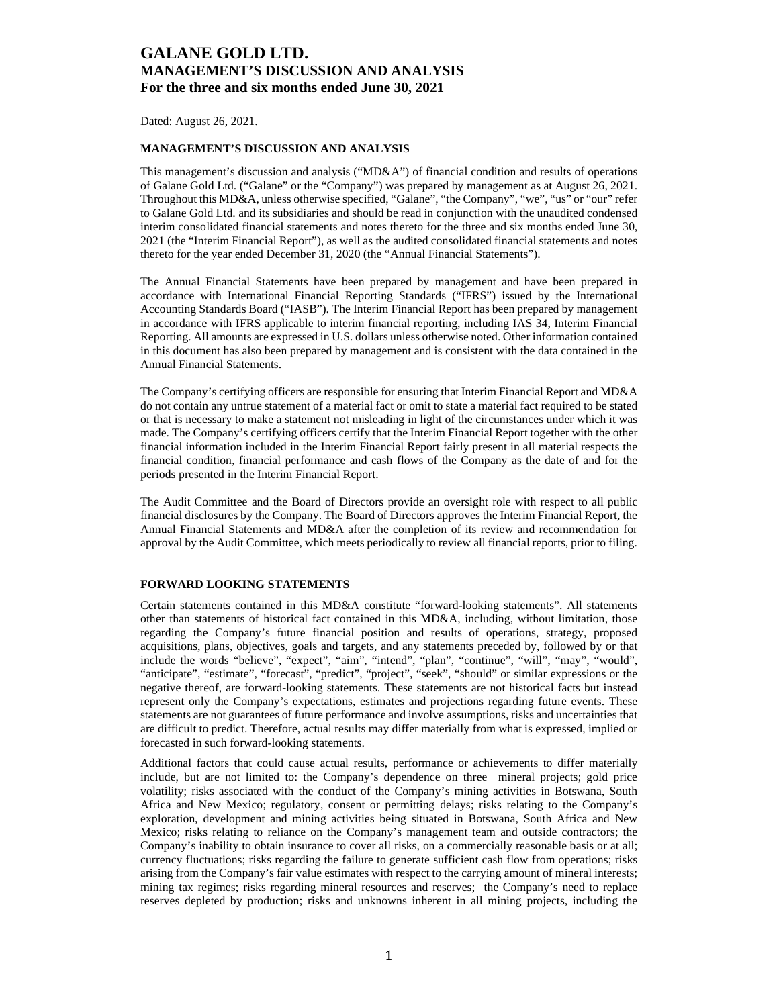Dated: August 26, 2021.

## **MANAGEMENT'S DISCUSSION AND ANALYSIS**

This management's discussion and analysis ("MD&A") of financial condition and results of operations of Galane Gold Ltd. ("Galane" or the "Company") was prepared by management as at August 26, 2021. Throughout this MD&A, unless otherwise specified, "Galane", "the Company", "we", "us" or "our" refer to Galane Gold Ltd. and its subsidiaries and should be read in conjunction with the unaudited condensed interim consolidated financial statements and notes thereto for the three and six months ended June 30, 2021 (the "Interim Financial Report"), as well as the audited consolidated financial statements and notes thereto for the year ended December 31, 2020 (the "Annual Financial Statements").

The Annual Financial Statements have been prepared by management and have been prepared in accordance with International Financial Reporting Standards ("IFRS") issued by the International Accounting Standards Board ("IASB"). The Interim Financial Report has been prepared by management in accordance with IFRS applicable to interim financial reporting, including IAS 34, Interim Financial Reporting. All amounts are expressed in U.S. dollars unless otherwise noted. Other information contained in this document has also been prepared by management and is consistent with the data contained in the Annual Financial Statements.

The Company's certifying officers are responsible for ensuring that Interim Financial Report and MD&A do not contain any untrue statement of a material fact or omit to state a material fact required to be stated or that is necessary to make a statement not misleading in light of the circumstances under which it was made. The Company's certifying officers certify that the Interim Financial Report together with the other financial information included in the Interim Financial Report fairly present in all material respects the financial condition, financial performance and cash flows of the Company as the date of and for the periods presented in the Interim Financial Report.

The Audit Committee and the Board of Directors provide an oversight role with respect to all public financial disclosures by the Company. The Board of Directors approves the Interim Financial Report, the Annual Financial Statements and MD&A after the completion of its review and recommendation for approval by the Audit Committee, which meets periodically to review all financial reports, prior to filing.

### **FORWARD LOOKING STATEMENTS**

Certain statements contained in this MD&A constitute "forward-looking statements". All statements other than statements of historical fact contained in this MD&A, including, without limitation, those regarding the Company's future financial position and results of operations, strategy, proposed acquisitions, plans, objectives, goals and targets, and any statements preceded by, followed by or that include the words "believe", "expect", "aim", "intend", "plan", "continue", "will", "may", "would", "anticipate", "estimate", "forecast", "predict", "project", "seek", "should" or similar expressions or the negative thereof, are forward-looking statements. These statements are not historical facts but instead represent only the Company's expectations, estimates and projections regarding future events. These statements are not guarantees of future performance and involve assumptions, risks and uncertainties that are difficult to predict. Therefore, actual results may differ materially from what is expressed, implied or forecasted in such forward-looking statements.

Additional factors that could cause actual results, performance or achievements to differ materially include, but are not limited to: the Company's dependence on three mineral projects; gold price volatility; risks associated with the conduct of the Company's mining activities in Botswana, South Africa and New Mexico; regulatory, consent or permitting delays; risks relating to the Company's exploration, development and mining activities being situated in Botswana, South Africa and New Mexico; risks relating to reliance on the Company's management team and outside contractors; the Company's inability to obtain insurance to cover all risks, on a commercially reasonable basis or at all; currency fluctuations; risks regarding the failure to generate sufficient cash flow from operations; risks arising from the Company's fair value estimates with respect to the carrying amount of mineral interests; mining tax regimes; risks regarding mineral resources and reserves; the Company's need to replace reserves depleted by production; risks and unknowns inherent in all mining projects, including the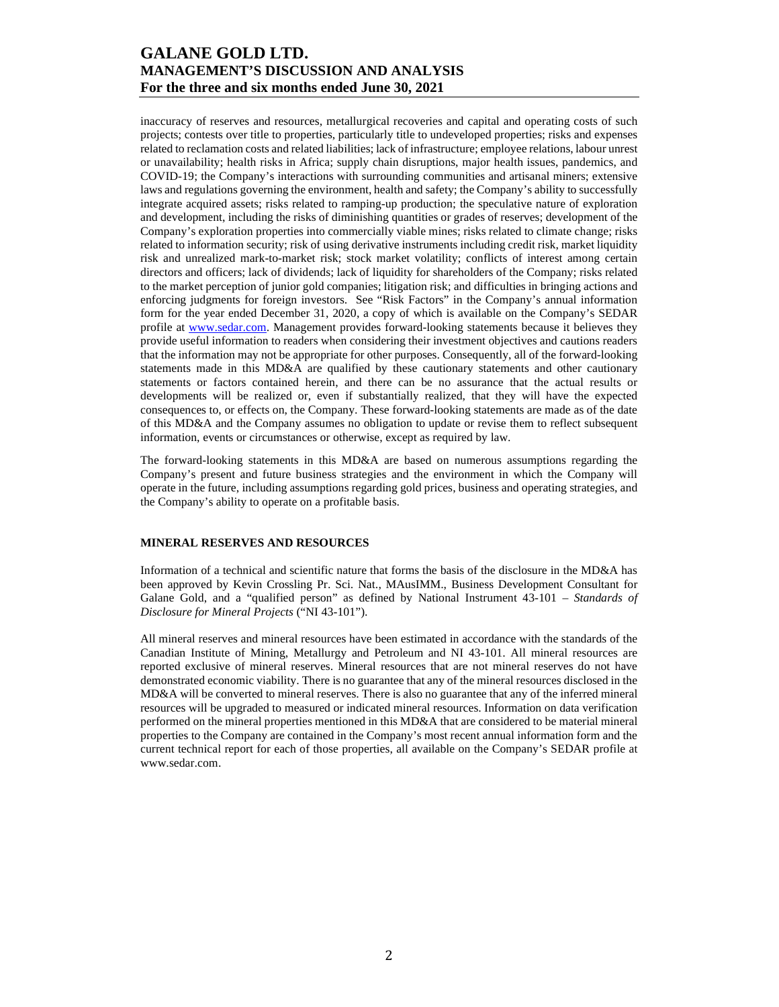inaccuracy of reserves and resources, metallurgical recoveries and capital and operating costs of such projects; contests over title to properties, particularly title to undeveloped properties; risks and expenses related to reclamation costs and related liabilities; lack of infrastructure; employee relations, labour unrest or unavailability; health risks in Africa; supply chain disruptions, major health issues, pandemics, and COVID-19; the Company's interactions with surrounding communities and artisanal miners; extensive laws and regulations governing the environment, health and safety; the Company's ability to successfully integrate acquired assets; risks related to ramping-up production; the speculative nature of exploration and development, including the risks of diminishing quantities or grades of reserves; development of the Company's exploration properties into commercially viable mines; risks related to climate change; risks related to information security; risk of using derivative instruments including credit risk, market liquidity risk and unrealized mark-to-market risk; stock market volatility; conflicts of interest among certain directors and officers; lack of dividends; lack of liquidity for shareholders of the Company; risks related to the market perception of junior gold companies; litigation risk; and difficulties in bringing actions and enforcing judgments for foreign investors. See "Risk Factors" in the Company's annual information form for the year ended December 31, 2020, a copy of which is available on the Company's SEDAR profile at www.sedar.com. Management provides forward-looking statements because it believes they provide useful information to readers when considering their investment objectives and cautions readers that the information may not be appropriate for other purposes. Consequently, all of the forward-looking statements made in this MD&A are qualified by these cautionary statements and other cautionary statements or factors contained herein, and there can be no assurance that the actual results or developments will be realized or, even if substantially realized, that they will have the expected consequences to, or effects on, the Company. These forward-looking statements are made as of the date of this MD&A and the Company assumes no obligation to update or revise them to reflect subsequent information, events or circumstances or otherwise, except as required by law.

The forward-looking statements in this MD&A are based on numerous assumptions regarding the Company's present and future business strategies and the environment in which the Company will operate in the future, including assumptions regarding gold prices, business and operating strategies, and the Company's ability to operate on a profitable basis.

## **MINERAL RESERVES AND RESOURCES**

Information of a technical and scientific nature that forms the basis of the disclosure in the MD&A has been approved by Kevin Crossling Pr. Sci. Nat., MAusIMM., Business Development Consultant for Galane Gold, and a "qualified person" as defined by National Instrument 43-101 – *Standards of Disclosure for Mineral Projects* ("NI 43-101").

All mineral reserves and mineral resources have been estimated in accordance with the standards of the Canadian Institute of Mining, Metallurgy and Petroleum and NI 43-101. All mineral resources are reported exclusive of mineral reserves. Mineral resources that are not mineral reserves do not have demonstrated economic viability. There is no guarantee that any of the mineral resources disclosed in the MD&A will be converted to mineral reserves. There is also no guarantee that any of the inferred mineral resources will be upgraded to measured or indicated mineral resources. Information on data verification performed on the mineral properties mentioned in this MD&A that are considered to be material mineral properties to the Company are contained in the Company's most recent annual information form and the current technical report for each of those properties, all available on the Company's SEDAR profile at www.sedar.com.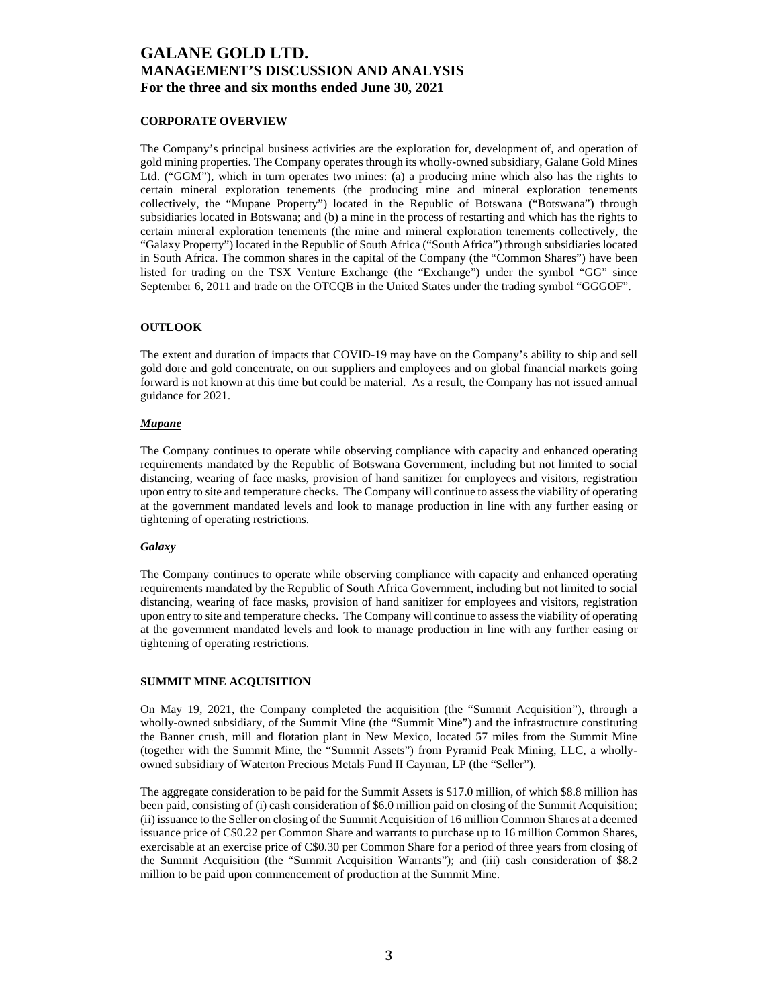### **CORPORATE OVERVIEW**

The Company's principal business activities are the exploration for, development of, and operation of gold mining properties. The Company operates through its wholly-owned subsidiary, Galane Gold Mines Ltd. ("GGM"), which in turn operates two mines: (a) a producing mine which also has the rights to certain mineral exploration tenements (the producing mine and mineral exploration tenements collectively, the "Mupane Property") located in the Republic of Botswana ("Botswana") through subsidiaries located in Botswana; and (b) a mine in the process of restarting and which has the rights to certain mineral exploration tenements (the mine and mineral exploration tenements collectively, the "Galaxy Property") located in the Republic of South Africa ("South Africa") through subsidiaries located in South Africa. The common shares in the capital of the Company (the "Common Shares") have been listed for trading on the TSX Venture Exchange (the "Exchange") under the symbol "GG" since September 6, 2011 and trade on the OTCQB in the United States under the trading symbol "GGGOF".

#### **OUTLOOK**

The extent and duration of impacts that COVID-19 may have on the Company's ability to ship and sell gold dore and gold concentrate, on our suppliers and employees and on global financial markets going forward is not known at this time but could be material. As a result, the Company has not issued annual guidance for 2021.

#### *Mupane*

The Company continues to operate while observing compliance with capacity and enhanced operating requirements mandated by the Republic of Botswana Government, including but not limited to social distancing, wearing of face masks, provision of hand sanitizer for employees and visitors, registration upon entry to site and temperature checks. The Company will continue to assess the viability of operating at the government mandated levels and look to manage production in line with any further easing or tightening of operating restrictions.

### *Galaxy*

The Company continues to operate while observing compliance with capacity and enhanced operating requirements mandated by the Republic of South Africa Government, including but not limited to social distancing, wearing of face masks, provision of hand sanitizer for employees and visitors, registration upon entry to site and temperature checks. The Company will continue to assess the viability of operating at the government mandated levels and look to manage production in line with any further easing or tightening of operating restrictions.

### **SUMMIT MINE ACQUISITION**

On May 19, 2021, the Company completed the acquisition (the "Summit Acquisition"), through a wholly-owned subsidiary, of the Summit Mine (the "Summit Mine") and the infrastructure constituting the Banner crush, mill and flotation plant in New Mexico, located 57 miles from the Summit Mine (together with the Summit Mine, the "Summit Assets") from Pyramid Peak Mining, LLC, a whollyowned subsidiary of Waterton Precious Metals Fund II Cayman, LP (the "Seller").

The aggregate consideration to be paid for the Summit Assets is \$17.0 million, of which \$8.8 million has been paid, consisting of (i) cash consideration of \$6.0 million paid on closing of the Summit Acquisition; (ii) issuance to the Seller on closing of the Summit Acquisition of 16 million Common Shares at a deemed issuance price of C\$0.22 per Common Share and warrants to purchase up to 16 million Common Shares, exercisable at an exercise price of C\$0.30 per Common Share for a period of three years from closing of the Summit Acquisition (the "Summit Acquisition Warrants"); and (iii) cash consideration of \$8.2 million to be paid upon commencement of production at the Summit Mine.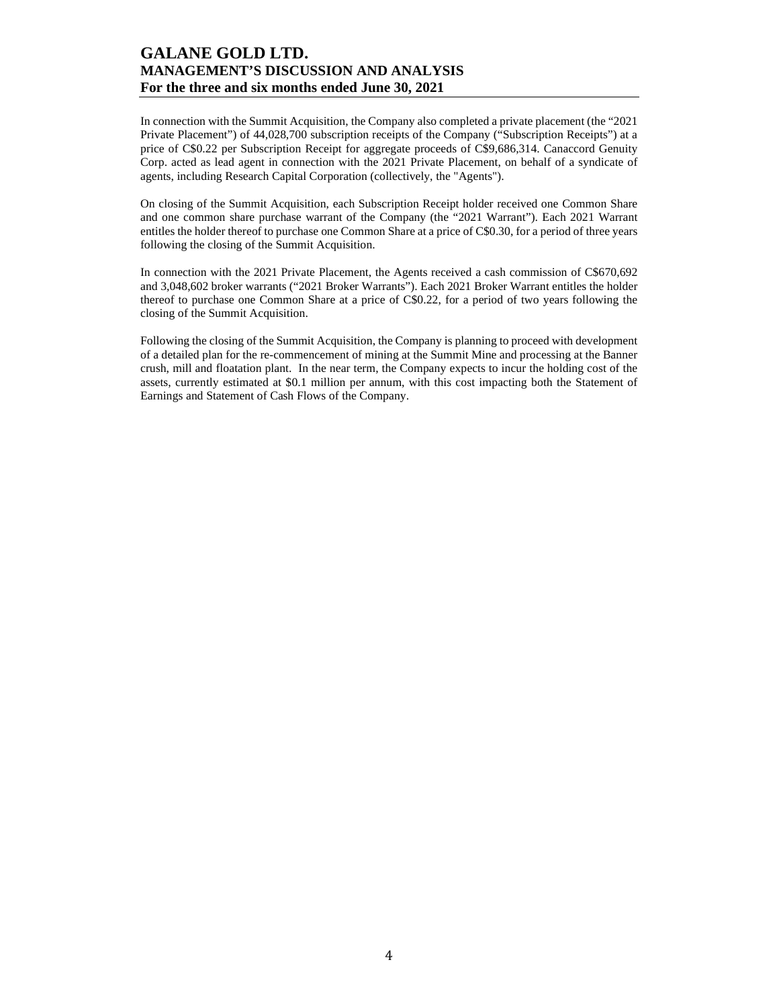In connection with the Summit Acquisition, the Company also completed a private placement (the "2021 Private Placement") of 44,028,700 subscription receipts of the Company ("Subscription Receipts") at a price of C\$0.22 per Subscription Receipt for aggregate proceeds of C\$9,686,314. Canaccord Genuity Corp. acted as lead agent in connection with the 2021 Private Placement, on behalf of a syndicate of agents, including Research Capital Corporation (collectively, the "Agents").

On closing of the Summit Acquisition, each Subscription Receipt holder received one Common Share and one common share purchase warrant of the Company (the "2021 Warrant"). Each 2021 Warrant entitles the holder thereof to purchase one Common Share at a price of C\$0.30, for a period of three years following the closing of the Summit Acquisition.

In connection with the 2021 Private Placement, the Agents received a cash commission of C\$670,692 and 3,048,602 broker warrants ("2021 Broker Warrants"). Each 2021 Broker Warrant entitles the holder thereof to purchase one Common Share at a price of C\$0.22, for a period of two years following the closing of the Summit Acquisition.

Following the closing of the Summit Acquisition, the Company is planning to proceed with development of a detailed plan for the re-commencement of mining at the Summit Mine and processing at the Banner crush, mill and floatation plant. In the near term, the Company expects to incur the holding cost of the assets, currently estimated at \$0.1 million per annum, with this cost impacting both the Statement of Earnings and Statement of Cash Flows of the Company.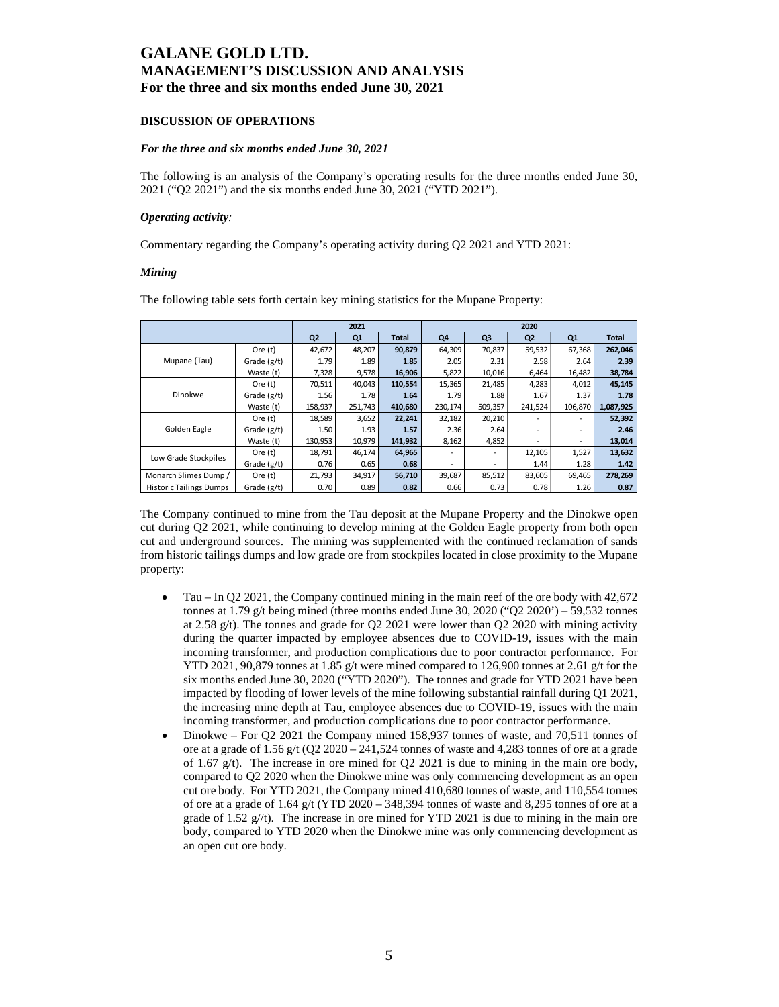### **DISCUSSION OF OPERATIONS**

#### *For the three and six months ended June 30, 2021*

The following is an analysis of the Company's operating results for the three months ended June 30, 2021 ("Q2 2021") and the six months ended June 30, 2021 ("YTD 2021").

#### *Operating activity:*

Commentary regarding the Company's operating activity during Q2 2021 and YTD 2021:

#### *Mining*

The following table sets forth certain key mining statistics for the Mupane Property:

|                                |               |                | 2021    |              |          |                | 2020           |                          |              |
|--------------------------------|---------------|----------------|---------|--------------|----------|----------------|----------------|--------------------------|--------------|
|                                |               | Q <sub>2</sub> | Q1      | <b>Total</b> | Q4       | Q <sub>3</sub> | Q <sub>2</sub> | Q1                       | <b>Total</b> |
|                                | Ore (t)       | 42,672         | 48,207  | 90,879       | 64,309   | 70,837         | 59,532         | 67,368                   | 262,046      |
| Mupane (Tau)                   | Grade $(g/t)$ | 1.79           | 1.89    | 1.85         | 2.05     | 2.31           | 2.58           | 2.64                     | 2.39         |
|                                | Waste (t)     | 7,328          | 9,578   | 16,906       | 5,822    | 10,016         | 6,464          | 16,482                   | 38,784       |
|                                | Ore (t)       | 70,511         | 40,043  | 110,554      | 15,365   | 21,485         | 4,283          | 4,012                    | 45,145       |
| Dinokwe                        | Grade $(g/t)$ | 1.56           | 1.78    | 1.64         | 1.79     | 1.88           | 1.67           | 1.37                     | 1.78         |
|                                | Waste (t)     | 158,937        | 251,743 | 410,680      | 230, 174 | 509,357        | 241,524        | 106,870                  | 1,087,925    |
|                                | Ore $(t)$     | 18,589         | 3,652   | 22,241       | 32,182   | 20,210         |                | $\overline{\phantom{a}}$ | 52,392       |
| Golden Eagle                   | Grade $(g/t)$ | 1.50           | 1.93    | 1.57         | 2.36     | 2.64           |                | ٠                        | 2.46         |
|                                | Waste (t)     | 130,953        | 10,979  | 141,932      | 8,162    | 4,852          | -              | -                        | 13,014       |
| Low Grade Stockpiles           | Ore $(t)$     | 18,791         | 46,174  | 64,965       |          | ٠              | 12,105         | 1,527                    | 13,632       |
|                                | Grade $(g/t)$ | 0.76           | 0.65    | 0.68         |          | ٠              | 1.44           | 1.28                     | 1.42         |
| Monarch Slimes Dump /          | Ore $(t)$     | 21,793         | 34,917  | 56,710       | 39,687   | 85,512         | 83,605         | 69,465                   | 278,269      |
| <b>Historic Tailings Dumps</b> | Grade (g/t)   | 0.70           | 0.89    | 0.82         | 0.66     | 0.73           | 0.78           | 1.26                     | 0.87         |

The Company continued to mine from the Tau deposit at the Mupane Property and the Dinokwe open cut during Q2 2021, while continuing to develop mining at the Golden Eagle property from both open cut and underground sources. The mining was supplemented with the continued reclamation of sands from historic tailings dumps and low grade ore from stockpiles located in close proximity to the Mupane property:

- Tau In Q2 2021, the Company continued mining in the main reef of the ore body with 42,672 tonnes at 1.79 g/t being mined (three months ended June 30, 2020 ("O2 2020") – 59,532 tonnes at 2.58  $g(t)$ . The tonnes and grade for Q2 2021 were lower than Q2 2020 with mining activity during the quarter impacted by employee absences due to COVID-19, issues with the main incoming transformer, and production complications due to poor contractor performance. For YTD 2021, 90,879 tonnes at 1.85 g/t were mined compared to 126,900 tonnes at 2.61 g/t for the six months ended June 30, 2020 ("YTD 2020"). The tonnes and grade for YTD 2021 have been impacted by flooding of lower levels of the mine following substantial rainfall during Q1 2021, the increasing mine depth at Tau, employee absences due to COVID-19, issues with the main incoming transformer, and production complications due to poor contractor performance.
- Dinokwe For Q2 2021 the Company mined 158,937 tonnes of waste, and 70,511 tonnes of ore at a grade of 1.56 g/t (Q2 2020 – 241,524 tonnes of waste and 4,283 tonnes of ore at a grade of 1.67 g/t). The increase in ore mined for  $Q2$  2021 is due to mining in the main ore body, compared to Q2 2020 when the Dinokwe mine was only commencing development as an open cut ore body. For YTD 2021, the Company mined 410,680 tonnes of waste, and 110,554 tonnes of ore at a grade of 1.64 g/t (YTD 2020 – 348,394 tonnes of waste and 8,295 tonnes of ore at a grade of 1.52 g//t). The increase in ore mined for YTD 2021 is due to mining in the main ore body, compared to YTD 2020 when the Dinokwe mine was only commencing development as an open cut ore body.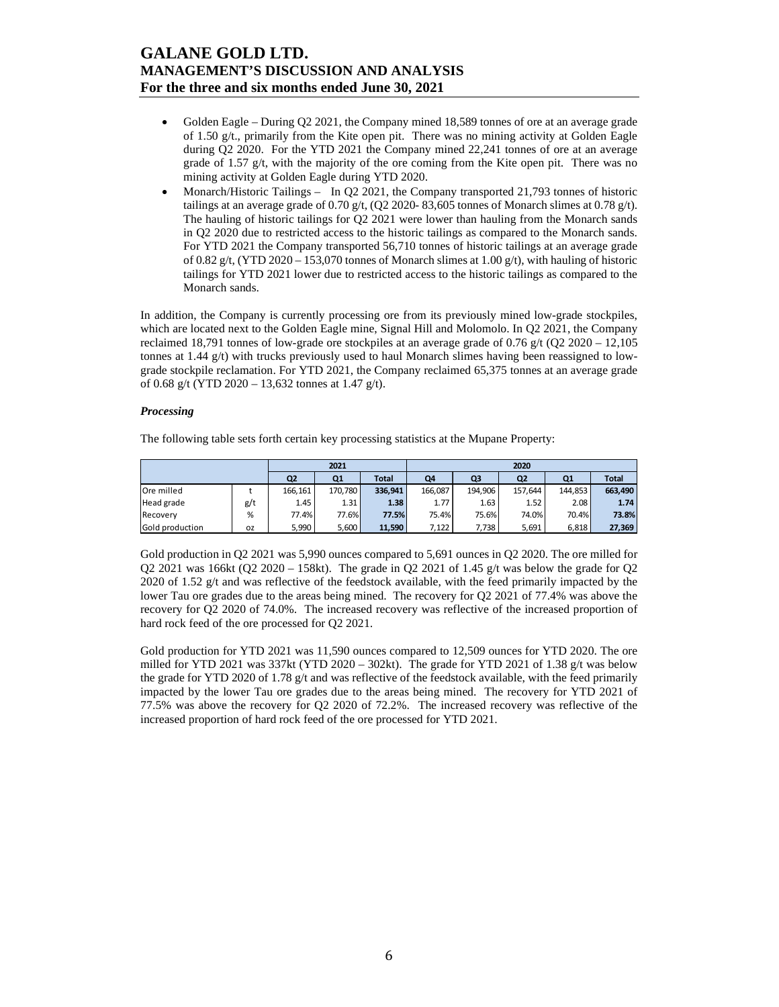- Golden Eagle During Q2 2021, the Company mined 18,589 tonnes of ore at an average grade of 1.50 g/t., primarily from the Kite open pit. There was no mining activity at Golden Eagle during Q2 2020. For the YTD 2021 the Company mined 22,241 tonnes of ore at an average grade of 1.57 g/t, with the majority of the ore coming from the Kite open pit. There was no mining activity at Golden Eagle during YTD 2020.
- Monarch/Historic Tailings In Q2 2021, the Company transported 21,793 tonnes of historic tailings at an average grade of 0.70 g/t,  $(Q2 2020 - 83,605)$  tonnes of Monarch slimes at 0.78 g/t). The hauling of historic tailings for Q2 2021 were lower than hauling from the Monarch sands in Q2 2020 due to restricted access to the historic tailings as compared to the Monarch sands. For YTD 2021 the Company transported 56,710 tonnes of historic tailings at an average grade of 0.82 g/t, (YTD 2020 – 153,070 tonnes of Monarch slimes at 1.00 g/t), with hauling of historic tailings for YTD 2021 lower due to restricted access to the historic tailings as compared to the Monarch sands.

In addition, the Company is currently processing ore from its previously mined low-grade stockpiles, which are located next to the Golden Eagle mine, Signal Hill and Molomolo. In Q2 2021, the Company reclaimed 18,791 tonnes of low-grade ore stockpiles at an average grade of  $0.76$  g/t (Q2 2020 – 12,105 tonnes at 1.44 g/t) with trucks previously used to haul Monarch slimes having been reassigned to lowgrade stockpile reclamation. For YTD 2021, the Company reclaimed 65,375 tonnes at an average grade of 0.68 g/t (YTD 2020 – 13,632 tonnes at 1.47 g/t).

#### *Processing*

The following table sets forth certain key processing statistics at the Mupane Property:

|                 |     | 2021           |                | 2020         |         |         |         |                |              |  |
|-----------------|-----|----------------|----------------|--------------|---------|---------|---------|----------------|--------------|--|
|                 |     | Q <sub>2</sub> | Q <sub>1</sub> | <b>Total</b> | Q4      | Q3      | Q2      | Q <sub>1</sub> | <b>Total</b> |  |
| Ore milled      |     | 166,161        | 170.780        | 336,941      | 166.087 | 194,906 | 157.644 | 144.853        | 663,490      |  |
| Head grade      | g/t | 1.45           | 1.31           | 1.38         | 1.77    | 1.63    | 1.52    | 2.08           | 1.74         |  |
| Recovery        | %   | 77.4%          | 77.6%          | 77.5%        | 75.4%   | 75.6%   | 74.0%   | 70.4%          | 73.8%        |  |
| Gold production | ΟZ  | 5,990          | 5,600          | 11,590       | 7,122   | 7,738   | 5,691   | 6,818          | 27,369       |  |

Gold production in Q2 2021 was 5,990 ounces compared to 5,691 ounces in Q2 2020. The ore milled for Q2 2021 was 166kt (Q2 2020 – 158kt). The grade in Q2 2021 of 1.45 g/t was below the grade for Q2 2020 of 1.52 g/t and was reflective of the feedstock available, with the feed primarily impacted by the lower Tau ore grades due to the areas being mined. The recovery for Q2 2021 of 77.4% was above the recovery for Q2 2020 of 74.0%. The increased recovery was reflective of the increased proportion of hard rock feed of the ore processed for Q2 2021.

Gold production for YTD 2021 was 11,590 ounces compared to 12,509 ounces for YTD 2020. The ore milled for YTD 2021 was 337kt (YTD 2020 – 302kt). The grade for YTD 2021 of 1.38  $g/t$  was below the grade for YTD 2020 of 1.78 g/t and was reflective of the feedstock available, with the feed primarily impacted by the lower Tau ore grades due to the areas being mined. The recovery for YTD 2021 of 77.5% was above the recovery for Q2 2020 of 72.2%. The increased recovery was reflective of the increased proportion of hard rock feed of the ore processed for YTD 2021.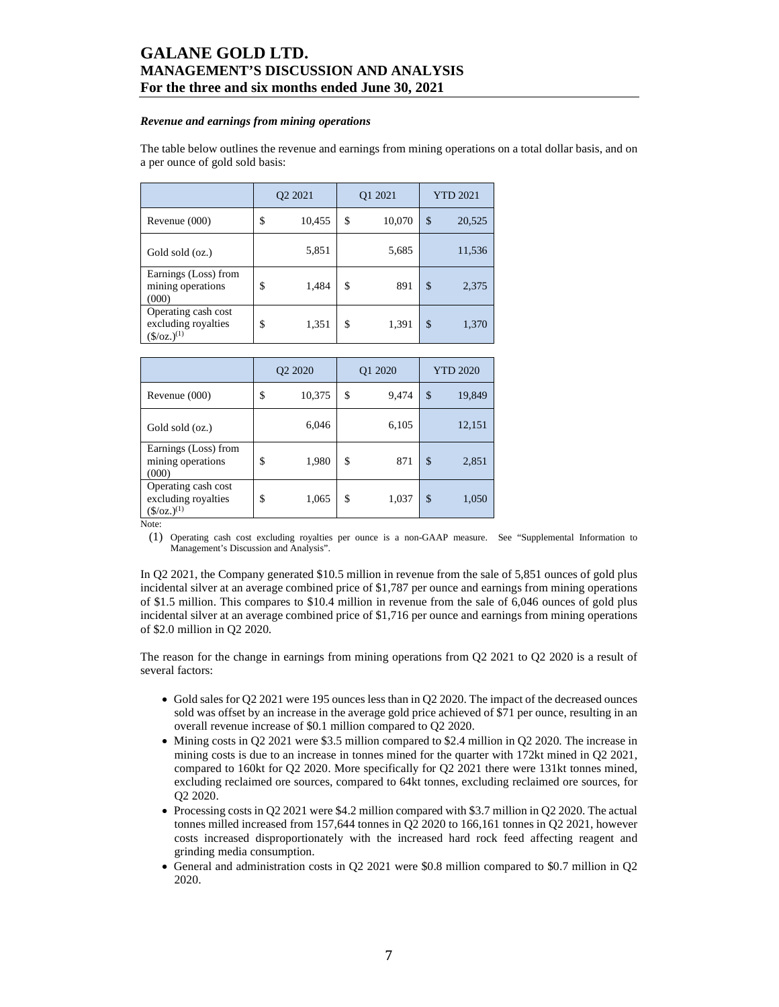#### *Revenue and earnings from mining operations*

The table below outlines the revenue and earnings from mining operations on a total dollar basis, and on a per ounce of gold sold basis:

|                                                                   | O <sub>2</sub> 2021 |        | Q1 2021      | <b>YTD 2021</b> |        |  |
|-------------------------------------------------------------------|---------------------|--------|--------------|-----------------|--------|--|
| Revenue (000)                                                     | \$                  | 10,455 | \$<br>10,070 | \$              | 20,525 |  |
| Gold sold (oz.)                                                   |                     | 5,851  | 5,685        |                 | 11,536 |  |
| Earnings (Loss) from<br>mining operations<br>(000)                | \$                  | 1,484  | \$<br>891    | \$              | 2,375  |  |
| Operating cash cost<br>excluding royalties<br>$(\frac{6}{2})$ (s) | \$                  | 1,351  | \$<br>1,391  | \$              | 1,370  |  |

|                                                                | O <sub>2</sub> 2020 |        | O1 2020     | <b>YTD 2020</b> |        |  |
|----------------------------------------------------------------|---------------------|--------|-------------|-----------------|--------|--|
| Revenue (000)                                                  | \$                  | 10,375 | \$<br>9,474 | \$              | 19,849 |  |
| Gold sold (oz.)                                                |                     | 6,046  | 6,105       |                 | 12,151 |  |
| Earnings (Loss) from<br>mining operations<br>(000)             | \$                  | 1,980  | \$<br>871   | \$              | 2,851  |  |
| Operating cash cost<br>excluding royalties<br>$(\$/oz.)^{(1)}$ | \$                  | 1,065  | \$<br>1,037 | \$              | 1,050  |  |

Note:

(1) Operating cash cost excluding royalties per ounce is a non-GAAP measure. See "Supplemental Information to Management's Discussion and Analysis".

In Q2 2021, the Company generated \$10.5 million in revenue from the sale of 5,851 ounces of gold plus incidental silver at an average combined price of \$1,787 per ounce and earnings from mining operations of \$1.5 million. This compares to \$10.4 million in revenue from the sale of 6,046 ounces of gold plus incidental silver at an average combined price of \$1,716 per ounce and earnings from mining operations of \$2.0 million in Q2 2020.

The reason for the change in earnings from mining operations from Q2 2021 to Q2 2020 is a result of several factors:

- Gold sales for Q2 2021 were 195 ounces less than in Q2 2020. The impact of the decreased ounces sold was offset by an increase in the average gold price achieved of \$71 per ounce, resulting in an overall revenue increase of \$0.1 million compared to Q2 2020.
- Mining costs in Q2 2021 were \$3.5 million compared to \$2.4 million in Q2 2020. The increase in mining costs is due to an increase in tonnes mined for the quarter with 172kt mined in Q2 2021, compared to 160kt for Q2 2020. More specifically for Q2 2021 there were 131kt tonnes mined, excluding reclaimed ore sources, compared to 64kt tonnes, excluding reclaimed ore sources, for Q2 2020.
- Processing costs in Q2 2021 were \$4.2 million compared with \$3.7 million in Q2 2020. The actual tonnes milled increased from 157,644 tonnes in Q2 2020 to 166,161 tonnes in Q2 2021, however costs increased disproportionately with the increased hard rock feed affecting reagent and grinding media consumption.
- General and administration costs in Q2 2021 were \$0.8 million compared to \$0.7 million in Q2 2020.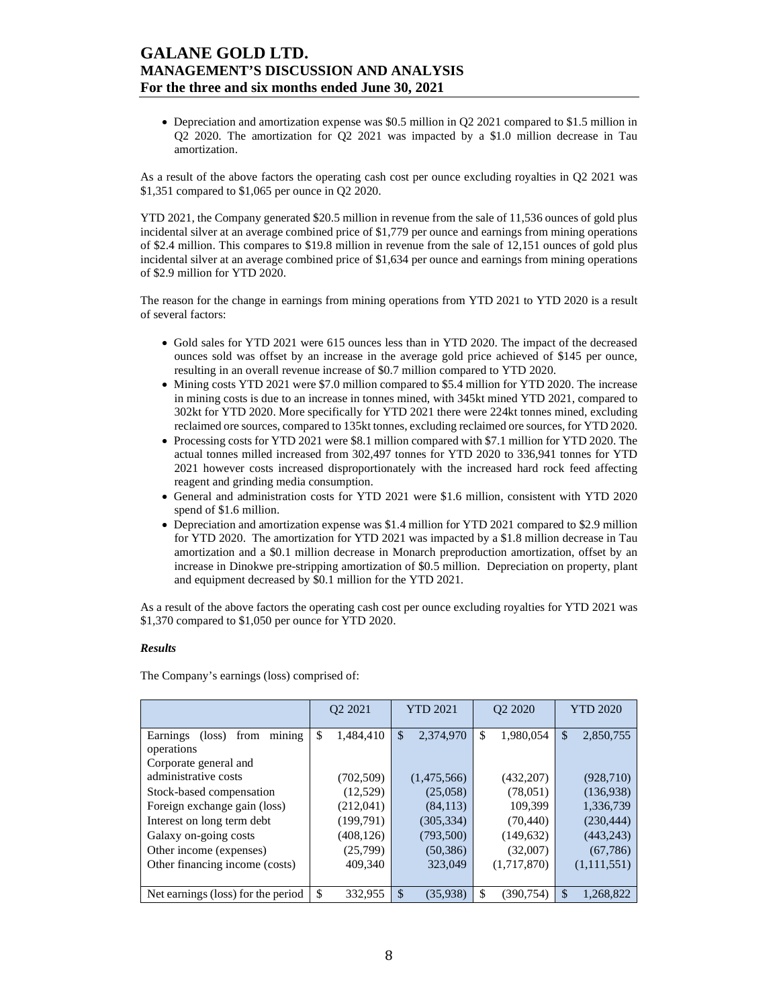Depreciation and amortization expense was \$0.5 million in Q2 2021 compared to \$1.5 million in Q2 2020. The amortization for Q2 2021 was impacted by a \$1.0 million decrease in Tau amortization.

As a result of the above factors the operating cash cost per ounce excluding royalties in Q2 2021 was \$1,351 compared to \$1,065 per ounce in Q2 2020.

YTD 2021, the Company generated \$20.5 million in revenue from the sale of 11,536 ounces of gold plus incidental silver at an average combined price of \$1,779 per ounce and earnings from mining operations of \$2.4 million. This compares to \$19.8 million in revenue from the sale of 12,151 ounces of gold plus incidental silver at an average combined price of \$1,634 per ounce and earnings from mining operations of \$2.9 million for YTD 2020.

The reason for the change in earnings from mining operations from YTD 2021 to YTD 2020 is a result of several factors:

- Gold sales for YTD 2021 were 615 ounces less than in YTD 2020. The impact of the decreased ounces sold was offset by an increase in the average gold price achieved of \$145 per ounce, resulting in an overall revenue increase of \$0.7 million compared to YTD 2020.
- Mining costs YTD 2021 were \$7.0 million compared to \$5.4 million for YTD 2020. The increase in mining costs is due to an increase in tonnes mined, with 345kt mined YTD 2021, compared to 302kt for YTD 2020. More specifically for YTD 2021 there were 224kt tonnes mined, excluding reclaimed ore sources, compared to 135kt tonnes, excluding reclaimed ore sources, for YTD 2020.
- Processing costs for YTD 2021 were \$8.1 million compared with \$7.1 million for YTD 2020. The actual tonnes milled increased from 302,497 tonnes for YTD 2020 to 336,941 tonnes for YTD 2021 however costs increased disproportionately with the increased hard rock feed affecting reagent and grinding media consumption.
- General and administration costs for YTD 2021 were \$1.6 million, consistent with YTD 2020 spend of \$1.6 million.
- Depreciation and amortization expense was \$1.4 million for YTD 2021 compared to \$2.9 million for YTD 2020. The amortization for YTD 2021 was impacted by a \$1.8 million decrease in Tau amortization and a \$0.1 million decrease in Monarch preproduction amortization, offset by an increase in Dinokwe pre-stripping amortization of \$0.5 million. Depreciation on property, plant and equipment decreased by \$0.1 million for the YTD 2021.

As a result of the above factors the operating cash cost per ounce excluding royalties for YTD 2021 was \$1,370 compared to \$1,050 per ounce for YTD 2020.

### *Results*

The Company's earnings (loss) comprised of:

|                                                             | O <sub>2</sub> 2021 | <b>YTD 2021</b> | O <sub>2</sub> 2020 | <b>YTD 2020</b>            |  |
|-------------------------------------------------------------|---------------------|-----------------|---------------------|----------------------------|--|
| mining<br>Earnings<br>$(\text{loss})$<br>from<br>operations | \$<br>1,484,410     | \$<br>2,374,970 | \$<br>1,980,054     | $\mathcal{S}$<br>2,850,755 |  |
| Corporate general and                                       |                     |                 |                     |                            |  |
| administrative costs                                        | (702, 509)          | (1,475,566)     | (432, 207)          | (928, 710)                 |  |
| Stock-based compensation                                    | (12,529)            | (25,058)        | (78,051)            | (136.938)                  |  |
| Foreign exchange gain (loss)                                | (212,041)           | (84, 113)       | 109,399             | 1,336,739                  |  |
| Interest on long term debt                                  | (199,791)           | (305, 334)      | (70, 440)           | (230, 444)                 |  |
| Galaxy on-going costs                                       | (408, 126)          | (793,500)       | (149, 632)          | (443, 243)                 |  |
| Other income (expenses)                                     | (25,799)            | (50, 386)       | (32,007)            | (67, 786)                  |  |
| Other financing income (costs)                              | 409,340             | 323,049         | (1,717,870)         | (1,111,551)                |  |
|                                                             |                     |                 |                     |                            |  |
| Net earnings (loss) for the period                          | \$<br>332,955       | \$<br>(35,938)  | \$<br>(390,754)     | \$<br>1,268,822            |  |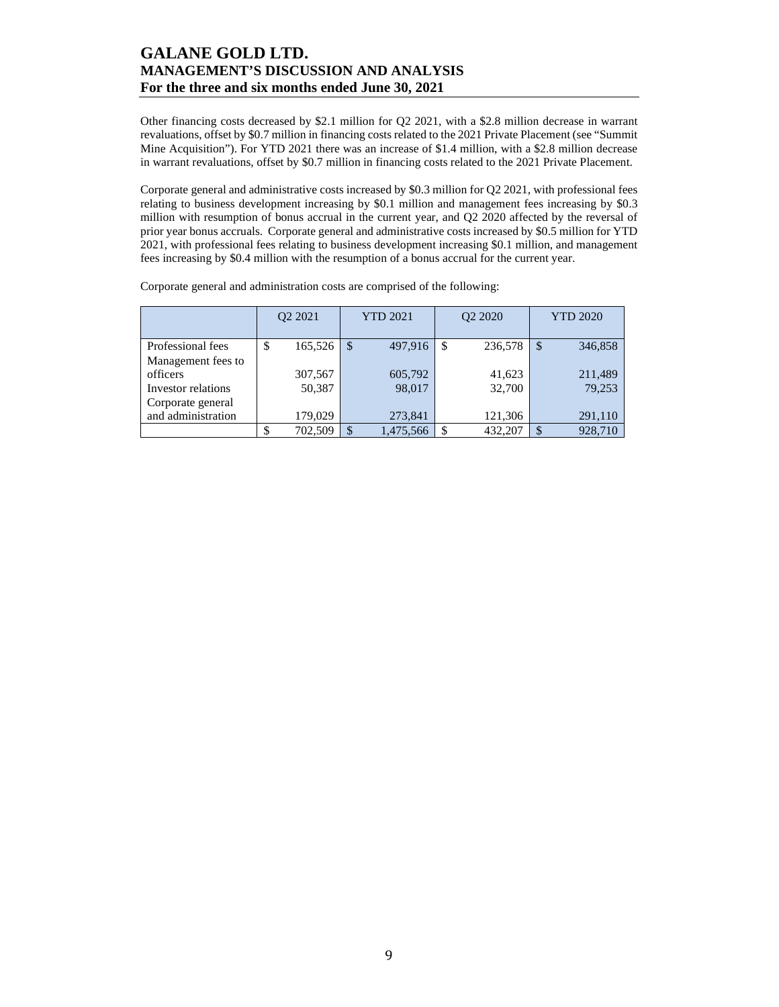Other financing costs decreased by \$2.1 million for Q2 2021, with a \$2.8 million decrease in warrant revaluations, offset by \$0.7 million in financing costs related to the 2021 Private Placement (see "Summit Mine Acquisition"). For YTD 2021 there was an increase of \$1.4 million, with a \$2.8 million decrease in warrant revaluations, offset by \$0.7 million in financing costs related to the 2021 Private Placement.

Corporate general and administrative costs increased by \$0.3 million for Q2 2021, with professional fees relating to business development increasing by \$0.1 million and management fees increasing by \$0.3 million with resumption of bonus accrual in the current year, and Q2 2020 affected by the reversal of prior year bonus accruals. Corporate general and administrative costs increased by \$0.5 million for YTD 2021, with professional fees relating to business development increasing \$0.1 million, and management fees increasing by \$0.4 million with the resumption of a bonus accrual for the current year.

|                    | Q <sub>2</sub> 20 <sub>21</sub> |         | <b>YTD 2021</b> |   | Q2 2020 | <b>YTD 2020</b> |         |  |
|--------------------|---------------------------------|---------|-----------------|---|---------|-----------------|---------|--|
| Professional fees  | \$                              | 165,526 | \$<br>497,916   | S | 236,578 | <sup>\$</sup>   | 346,858 |  |
| Management fees to |                                 |         |                 |   |         |                 |         |  |
| officers           |                                 | 307,567 | 605,792         |   | 41,623  |                 | 211,489 |  |
| Investor relations |                                 | 50,387  | 98,017          |   | 32,700  |                 | 79,253  |  |
| Corporate general  |                                 |         |                 |   |         |                 |         |  |
| and administration |                                 | 179,029 | 273,841         |   | 121,306 |                 | 291,110 |  |
|                    |                                 | 702,509 | \$<br>1,475,566 |   | 432,207 |                 | 928,710 |  |

Corporate general and administration costs are comprised of the following: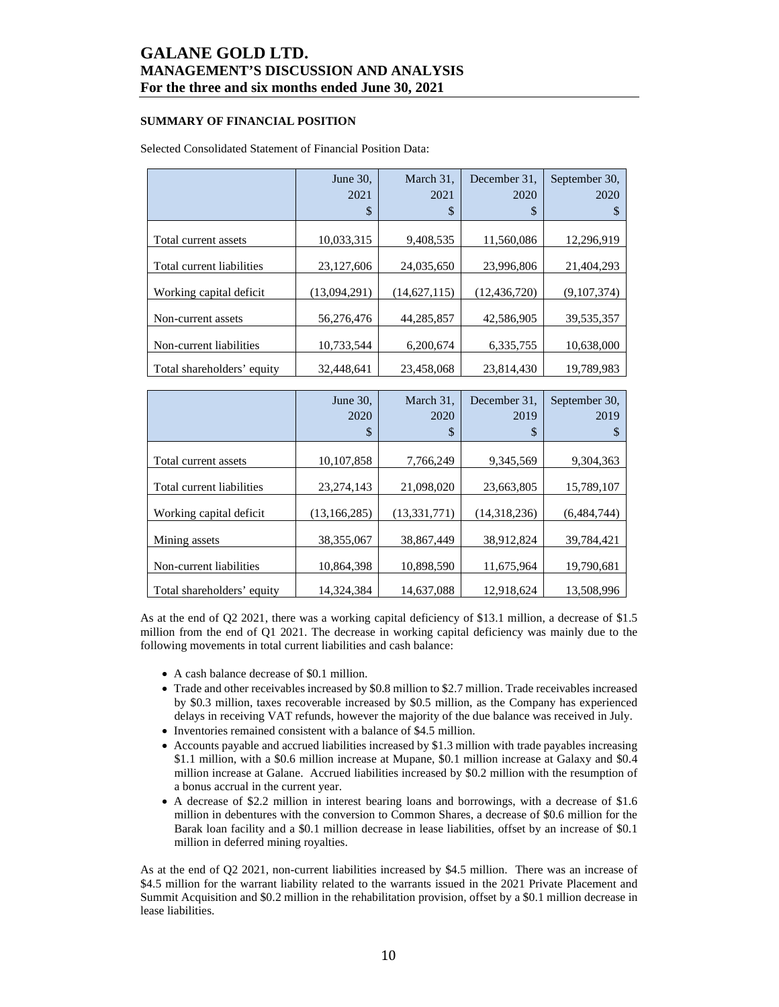## **SUMMARY OF FINANCIAL POSITION**

## Selected Consolidated Statement of Financial Position Data:

|                            | June 30.     | March 31,      | December 31.   | September 30, |
|----------------------------|--------------|----------------|----------------|---------------|
|                            | 2021<br>\$   | 2021<br>\$     | 2020<br>\$     | 2020<br>S     |
|                            |              |                |                |               |
| Total current assets       | 10,033,315   | 9,408,535      | 11,560,086     | 12,296,919    |
| Total current liabilities  | 23,127,606   | 24,035,650     | 23,996,806     | 21.404.293    |
| Working capital deficit    | (13,094,291) | (14, 627, 115) | (12, 436, 720) | (9,107,374)   |
| Non-current assets         | 56,276,476   | 44,285,857     | 42,586,905     | 39,535,357    |
| Non-current liabilities    | 10,733,544   | 6,200,674      | 6,335,755      | 10,638,000    |
| Total shareholders' equity | 32,448,641   | 23,458,068     | 23,814,430     | 19,789,983    |

|                            | June 30,<br>2020<br>\$ | March 31,<br>2020<br>\$ | December 31.<br>2019<br>\$ | September 30,<br>2019<br>S |
|----------------------------|------------------------|-------------------------|----------------------------|----------------------------|
| Total current assets       | 10,107,858             | 7,766,249               | 9,345,569                  | 9,304,363                  |
| Total current liabilities  | 23, 274, 143           | 21,098,020              | 23,663,805                 | 15,789,107                 |
| Working capital deficit    | (13, 166, 285)         | (13, 331, 771)          | (14,318,236)               | (6,484,744)                |
| Mining assets              | 38,355,067             | 38.867.449              | 38.912.824                 | 39,784,421                 |
| Non-current liabilities    | 10,864,398             | 10.898.590              | 11.675.964                 | 19,790,681                 |
| Total shareholders' equity | 14.324.384             | 14.637.088              | 12.918.624                 | 13.508.996                 |

As at the end of Q2 2021, there was a working capital deficiency of \$13.1 million, a decrease of \$1.5 million from the end of Q1 2021. The decrease in working capital deficiency was mainly due to the following movements in total current liabilities and cash balance:

- A cash balance decrease of \$0.1 million.
- Trade and other receivables increased by \$0.8 million to \$2.7 million. Trade receivables increased by \$0.3 million, taxes recoverable increased by \$0.5 million, as the Company has experienced delays in receiving VAT refunds, however the majority of the due balance was received in July.
- Inventories remained consistent with a balance of \$4.5 million.
- Accounts payable and accrued liabilities increased by \$1.3 million with trade payables increasing \$1.1 million, with a \$0.6 million increase at Mupane, \$0.1 million increase at Galaxy and \$0.4 million increase at Galane. Accrued liabilities increased by \$0.2 million with the resumption of a bonus accrual in the current year.
- A decrease of \$2.2 million in interest bearing loans and borrowings, with a decrease of \$1.6 million in debentures with the conversion to Common Shares, a decrease of \$0.6 million for the Barak loan facility and a \$0.1 million decrease in lease liabilities, offset by an increase of \$0.1 million in deferred mining royalties.

As at the end of Q2 2021, non-current liabilities increased by \$4.5 million. There was an increase of \$4.5 million for the warrant liability related to the warrants issued in the 2021 Private Placement and Summit Acquisition and \$0.2 million in the rehabilitation provision, offset by a \$0.1 million decrease in lease liabilities.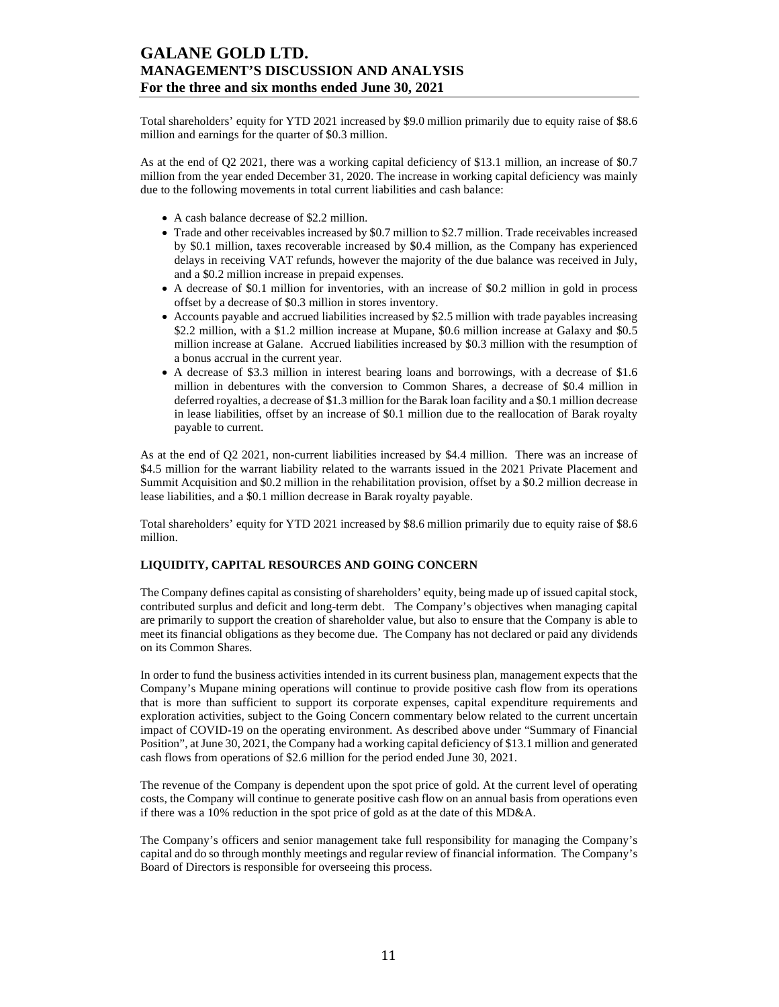Total shareholders' equity for YTD 2021 increased by \$9.0 million primarily due to equity raise of \$8.6 million and earnings for the quarter of \$0.3 million.

As at the end of Q2 2021, there was a working capital deficiency of \$13.1 million, an increase of \$0.7 million from the year ended December 31, 2020. The increase in working capital deficiency was mainly due to the following movements in total current liabilities and cash balance:

- A cash balance decrease of \$2.2 million.
- Trade and other receivables increased by \$0.7 million to \$2.7 million. Trade receivables increased by \$0.1 million, taxes recoverable increased by \$0.4 million, as the Company has experienced delays in receiving VAT refunds, however the majority of the due balance was received in July, and a \$0.2 million increase in prepaid expenses.
- A decrease of \$0.1 million for inventories, with an increase of \$0.2 million in gold in process offset by a decrease of \$0.3 million in stores inventory.
- Accounts payable and accrued liabilities increased by \$2.5 million with trade payables increasing \$2.2 million, with a \$1.2 million increase at Mupane, \$0.6 million increase at Galaxy and \$0.5 million increase at Galane. Accrued liabilities increased by \$0.3 million with the resumption of a bonus accrual in the current year.
- A decrease of \$3.3 million in interest bearing loans and borrowings, with a decrease of \$1.6 million in debentures with the conversion to Common Shares, a decrease of \$0.4 million in deferred royalties, a decrease of \$1.3 million for the Barak loan facility and a \$0.1 million decrease in lease liabilities, offset by an increase of \$0.1 million due to the reallocation of Barak royalty payable to current.

As at the end of Q2 2021, non-current liabilities increased by \$4.4 million. There was an increase of \$4.5 million for the warrant liability related to the warrants issued in the 2021 Private Placement and Summit Acquisition and \$0.2 million in the rehabilitation provision, offset by a \$0.2 million decrease in lease liabilities, and a \$0.1 million decrease in Barak royalty payable.

Total shareholders' equity for YTD 2021 increased by \$8.6 million primarily due to equity raise of \$8.6 million.

### **LIQUIDITY, CAPITAL RESOURCES AND GOING CONCERN**

The Company defines capital as consisting of shareholders' equity, being made up of issued capital stock, contributed surplus and deficit and long-term debt. The Company's objectives when managing capital are primarily to support the creation of shareholder value, but also to ensure that the Company is able to meet its financial obligations as they become due. The Company has not declared or paid any dividends on its Common Shares.

In order to fund the business activities intended in its current business plan, management expects that the Company's Mupane mining operations will continue to provide positive cash flow from its operations that is more than sufficient to support its corporate expenses, capital expenditure requirements and exploration activities, subject to the Going Concern commentary below related to the current uncertain impact of COVID-19 on the operating environment. As described above under "Summary of Financial Position", at June 30, 2021, the Company had a working capital deficiency of \$13.1 million and generated cash flows from operations of \$2.6 million for the period ended June 30, 2021.

The revenue of the Company is dependent upon the spot price of gold. At the current level of operating costs, the Company will continue to generate positive cash flow on an annual basis from operations even if there was a 10% reduction in the spot price of gold as at the date of this MD&A.

The Company's officers and senior management take full responsibility for managing the Company's capital and do so through monthly meetings and regular review of financial information. The Company's Board of Directors is responsible for overseeing this process.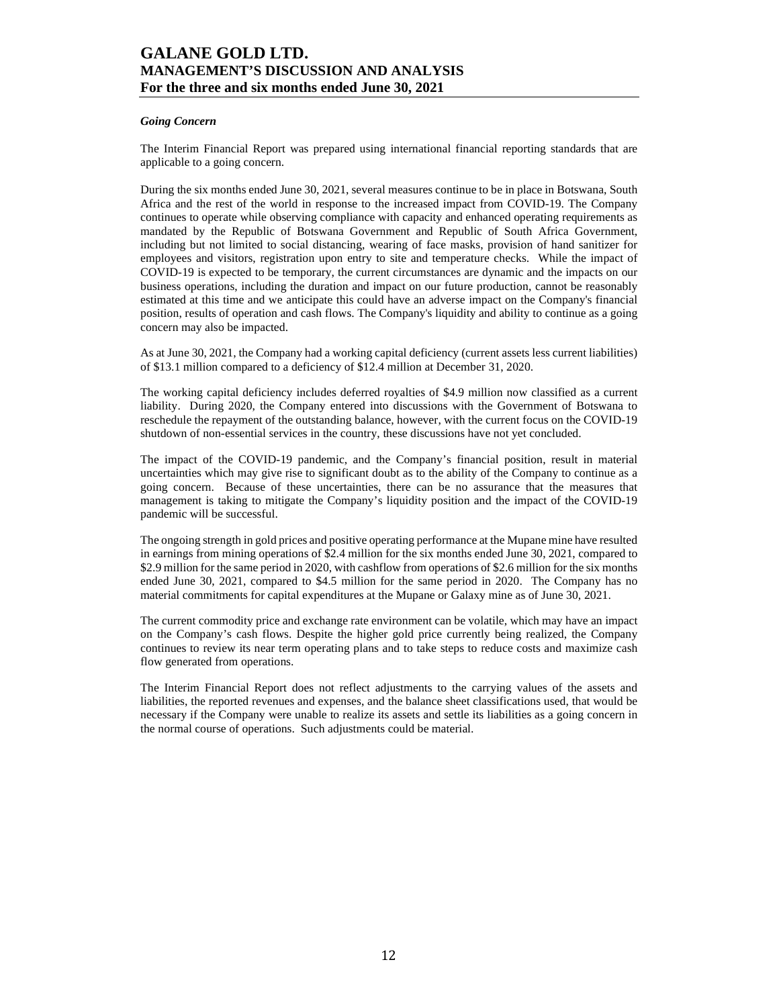### *Going Concern*

The Interim Financial Report was prepared using international financial reporting standards that are applicable to a going concern.

During the six months ended June 30, 2021, several measures continue to be in place in Botswana, South Africa and the rest of the world in response to the increased impact from COVID-19. The Company continues to operate while observing compliance with capacity and enhanced operating requirements as mandated by the Republic of Botswana Government and Republic of South Africa Government, including but not limited to social distancing, wearing of face masks, provision of hand sanitizer for employees and visitors, registration upon entry to site and temperature checks. While the impact of COVID-19 is expected to be temporary, the current circumstances are dynamic and the impacts on our business operations, including the duration and impact on our future production, cannot be reasonably estimated at this time and we anticipate this could have an adverse impact on the Company's financial position, results of operation and cash flows. The Company's liquidity and ability to continue as a going concern may also be impacted.

As at June 30, 2021, the Company had a working capital deficiency (current assets less current liabilities) of \$13.1 million compared to a deficiency of \$12.4 million at December 31, 2020.

The working capital deficiency includes deferred royalties of \$4.9 million now classified as a current liability. During 2020, the Company entered into discussions with the Government of Botswana to reschedule the repayment of the outstanding balance, however, with the current focus on the COVID-19 shutdown of non-essential services in the country, these discussions have not yet concluded.

The impact of the COVID-19 pandemic, and the Company's financial position, result in material uncertainties which may give rise to significant doubt as to the ability of the Company to continue as a going concern. Because of these uncertainties, there can be no assurance that the measures that management is taking to mitigate the Company's liquidity position and the impact of the COVID-19 pandemic will be successful.

The ongoing strength in gold prices and positive operating performance at the Mupane mine have resulted in earnings from mining operations of \$2.4 million for the six months ended June 30, 2021, compared to \$2.9 million for the same period in 2020, with cashflow from operations of \$2.6 million for the six months ended June 30, 2021, compared to \$4.5 million for the same period in 2020. The Company has no material commitments for capital expenditures at the Mupane or Galaxy mine as of June 30, 2021.

The current commodity price and exchange rate environment can be volatile, which may have an impact on the Company's cash flows. Despite the higher gold price currently being realized, the Company continues to review its near term operating plans and to take steps to reduce costs and maximize cash flow generated from operations.

The Interim Financial Report does not reflect adjustments to the carrying values of the assets and liabilities, the reported revenues and expenses, and the balance sheet classifications used, that would be necessary if the Company were unable to realize its assets and settle its liabilities as a going concern in the normal course of operations. Such adjustments could be material.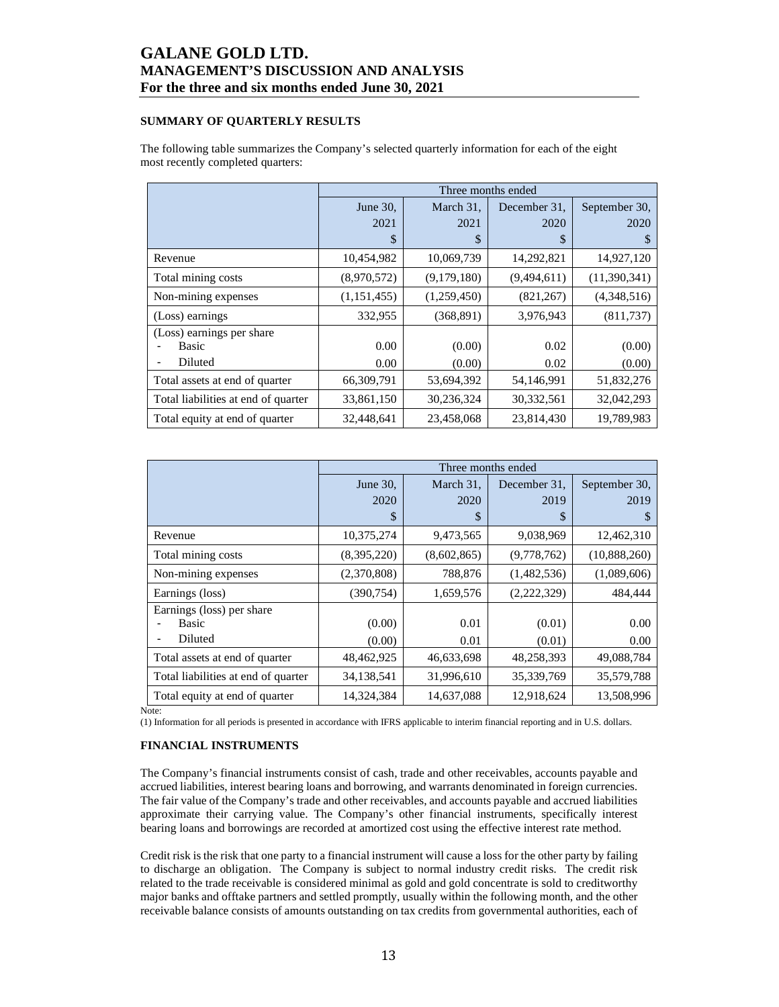## **SUMMARY OF QUARTERLY RESULTS**

The following table summarizes the Company's selected quarterly information for each of the eight most recently completed quarters:

|                                     |             |             | Three months ended |               |
|-------------------------------------|-------------|-------------|--------------------|---------------|
|                                     | June 30,    | March 31,   | December 31.       | September 30, |
|                                     | 2021        | 2021        | 2020               | 2020          |
|                                     | \$          | \$          | \$                 | S             |
| Revenue                             | 10,454,982  | 10,069,739  | 14,292,821         | 14,927,120    |
| Total mining costs                  | (8,970,572) | (9,179,180) | (9,494,611)        | (11,390,341)  |
| Non-mining expenses                 | (1,151,455) | (1,259,450) | (821, 267)         | (4,348,516)   |
| (Loss) earnings                     | 332,955     | (368, 891)  | 3,976,943          | (811,737)     |
| (Loss) earnings per share           |             |             |                    |               |
| Basic                               | 0.00        | (0.00)      | 0.02               | (0.00)        |
| Diluted                             | 0.00        | (0.00)      | 0.02               | (0.00)        |
| Total assets at end of quarter      | 66,309,791  | 53,694,392  | 54,146,991         | 51,832,276    |
| Total liabilities at end of quarter | 33,861,150  | 30,236,324  | 30,332,561         | 32,042,293    |
| Total equity at end of quarter      | 32,448,641  | 23,458,068  | 23,814,430         | 19,789,983    |

|                                     |             |             | Three months ended |               |  |
|-------------------------------------|-------------|-------------|--------------------|---------------|--|
|                                     | June 30,    | March 31,   | December 31.       | September 30, |  |
|                                     | 2020        | 2020        | 2019               | 2019          |  |
|                                     | \$          | \$          | S                  |               |  |
| Revenue                             | 10,375,274  | 9,473,565   | 9,038,969          | 12,462,310    |  |
| Total mining costs                  | (8,395,220) | (8,602,865) | (9,778,762)        | (10,888,260)  |  |
| Non-mining expenses                 | (2,370,808) | 788,876     | (1,482,536)        | (1,089,606)   |  |
| Earnings (loss)                     | (390, 754)  | 1,659,576   | (2,222,329)        | 484,444       |  |
| Earnings (loss) per share           |             |             |                    |               |  |
| Basic                               | (0.00)      | 0.01        | (0.01)             | 0.00          |  |
| Diluted                             | (0.00)      | 0.01        | (0.01)             | 0.00          |  |
| Total assets at end of quarter      | 48,462,925  | 46,633,698  | 48,258,393         | 49,088,784    |  |
| Total liabilities at end of quarter | 34,138,541  | 31,996,610  | 35,339,769         | 35,579,788    |  |
| Total equity at end of quarter      | 14,324,384  | 14,637,088  | 12,918,624         | 13,508,996    |  |

Note:

(1) Information for all periods is presented in accordance with IFRS applicable to interim financial reporting and in U.S. dollars.

### **FINANCIAL INSTRUMENTS**

The Company's financial instruments consist of cash, trade and other receivables, accounts payable and accrued liabilities, interest bearing loans and borrowing, and warrants denominated in foreign currencies. The fair value of the Company's trade and other receivables, and accounts payable and accrued liabilities approximate their carrying value. The Company's other financial instruments, specifically interest bearing loans and borrowings are recorded at amortized cost using the effective interest rate method.

Credit risk is the risk that one party to a financial instrument will cause a loss for the other party by failing to discharge an obligation. The Company is subject to normal industry credit risks. The credit risk related to the trade receivable is considered minimal as gold and gold concentrate is sold to creditworthy major banks and offtake partners and settled promptly, usually within the following month, and the other receivable balance consists of amounts outstanding on tax credits from governmental authorities, each of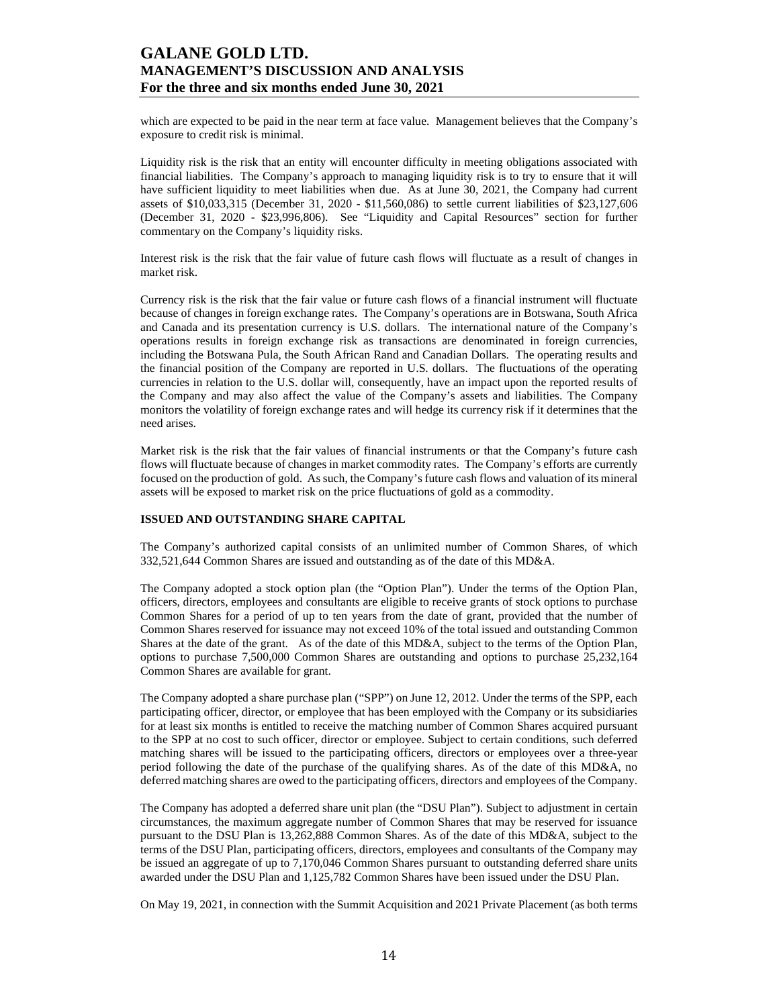which are expected to be paid in the near term at face value. Management believes that the Company's exposure to credit risk is minimal.

Liquidity risk is the risk that an entity will encounter difficulty in meeting obligations associated with financial liabilities. The Company's approach to managing liquidity risk is to try to ensure that it will have sufficient liquidity to meet liabilities when due. As at June 30, 2021, the Company had current assets of \$10,033,315 (December 31, 2020 - \$11,560,086) to settle current liabilities of \$23,127,606 (December 31, 2020 - \$23,996,806). See "Liquidity and Capital Resources" section for further commentary on the Company's liquidity risks.

Interest risk is the risk that the fair value of future cash flows will fluctuate as a result of changes in market risk.

Currency risk is the risk that the fair value or future cash flows of a financial instrument will fluctuate because of changes in foreign exchange rates. The Company's operations are in Botswana, South Africa and Canada and its presentation currency is U.S. dollars. The international nature of the Company's operations results in foreign exchange risk as transactions are denominated in foreign currencies, including the Botswana Pula, the South African Rand and Canadian Dollars. The operating results and the financial position of the Company are reported in U.S. dollars. The fluctuations of the operating currencies in relation to the U.S. dollar will, consequently, have an impact upon the reported results of the Company and may also affect the value of the Company's assets and liabilities. The Company monitors the volatility of foreign exchange rates and will hedge its currency risk if it determines that the need arises.

Market risk is the risk that the fair values of financial instruments or that the Company's future cash flows will fluctuate because of changes in market commodity rates. The Company's efforts are currently focused on the production of gold. As such, the Company's future cash flows and valuation of its mineral assets will be exposed to market risk on the price fluctuations of gold as a commodity.

#### **ISSUED AND OUTSTANDING SHARE CAPITAL**

The Company's authorized capital consists of an unlimited number of Common Shares, of which 332,521,644 Common Shares are issued and outstanding as of the date of this MD&A.

The Company adopted a stock option plan (the "Option Plan"). Under the terms of the Option Plan, officers, directors, employees and consultants are eligible to receive grants of stock options to purchase Common Shares for a period of up to ten years from the date of grant, provided that the number of Common Shares reserved for issuance may not exceed 10% of the total issued and outstanding Common Shares at the date of the grant. As of the date of this MD&A, subject to the terms of the Option Plan, options to purchase 7,500,000 Common Shares are outstanding and options to purchase 25,232,164 Common Shares are available for grant.

The Company adopted a share purchase plan ("SPP") on June 12, 2012. Under the terms of the SPP, each participating officer, director, or employee that has been employed with the Company or its subsidiaries for at least six months is entitled to receive the matching number of Common Shares acquired pursuant to the SPP at no cost to such officer, director or employee. Subject to certain conditions, such deferred matching shares will be issued to the participating officers, directors or employees over a three-year period following the date of the purchase of the qualifying shares. As of the date of this MD&A, no deferred matching shares are owed to the participating officers, directors and employees of the Company.

The Company has adopted a deferred share unit plan (the "DSU Plan"). Subject to adjustment in certain circumstances, the maximum aggregate number of Common Shares that may be reserved for issuance pursuant to the DSU Plan is 13,262,888 Common Shares. As of the date of this MD&A, subject to the terms of the DSU Plan, participating officers, directors, employees and consultants of the Company may be issued an aggregate of up to 7,170,046 Common Shares pursuant to outstanding deferred share units awarded under the DSU Plan and 1,125,782 Common Shares have been issued under the DSU Plan.

On May 19, 2021, in connection with the Summit Acquisition and 2021 Private Placement (as both terms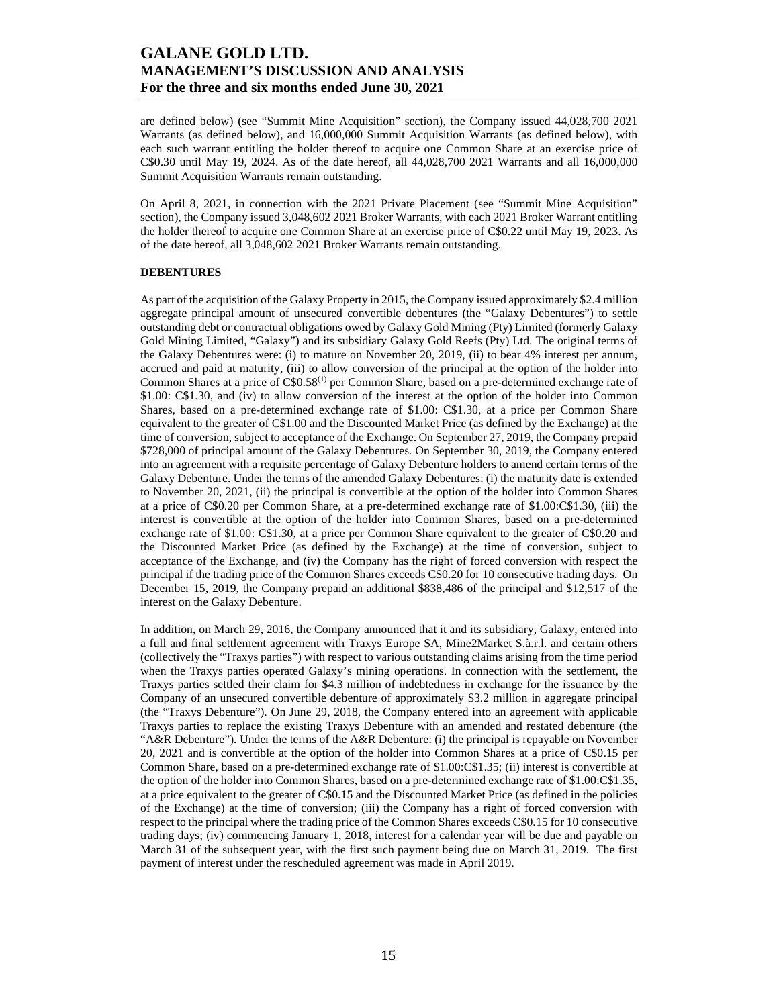are defined below) (see "Summit Mine Acquisition" section), the Company issued 44,028,700 2021 Warrants (as defined below), and 16,000,000 Summit Acquisition Warrants (as defined below), with each such warrant entitling the holder thereof to acquire one Common Share at an exercise price of C\$0.30 until May 19, 2024. As of the date hereof, all 44,028,700 2021 Warrants and all 16,000,000 Summit Acquisition Warrants remain outstanding.

On April 8, 2021, in connection with the 2021 Private Placement (see "Summit Mine Acquisition" section), the Company issued 3,048,602 2021 Broker Warrants, with each 2021 Broker Warrant entitling the holder thereof to acquire one Common Share at an exercise price of C\$0.22 until May 19, 2023. As of the date hereof, all 3,048,602 2021 Broker Warrants remain outstanding.

### **DEBENTURES**

As part of the acquisition of the Galaxy Property in 2015, the Company issued approximately \$2.4 million aggregate principal amount of unsecured convertible debentures (the "Galaxy Debentures") to settle outstanding debt or contractual obligations owed by Galaxy Gold Mining (Pty) Limited (formerly Galaxy Gold Mining Limited, "Galaxy") and its subsidiary Galaxy Gold Reefs (Pty) Ltd. The original terms of the Galaxy Debentures were: (i) to mature on November 20, 2019, (ii) to bear 4% interest per annum, accrued and paid at maturity, (iii) to allow conversion of the principal at the option of the holder into Common Shares at a price of C\$0.58(1) per Common Share, based on a pre-determined exchange rate of \$1.00: C\$1.30, and (iv) to allow conversion of the interest at the option of the holder into Common Shares, based on a pre-determined exchange rate of \$1.00: C\$1.30, at a price per Common Share equivalent to the greater of C\$1.00 and the Discounted Market Price (as defined by the Exchange) at the time of conversion, subject to acceptance of the Exchange. On September 27, 2019, the Company prepaid \$728,000 of principal amount of the Galaxy Debentures. On September 30, 2019, the Company entered into an agreement with a requisite percentage of Galaxy Debenture holders to amend certain terms of the Galaxy Debenture. Under the terms of the amended Galaxy Debentures: (i) the maturity date is extended to November 20, 2021, (ii) the principal is convertible at the option of the holder into Common Shares at a price of C\$0.20 per Common Share, at a pre-determined exchange rate of \$1.00:C\$1.30, (iii) the interest is convertible at the option of the holder into Common Shares, based on a pre-determined exchange rate of \$1.00: C\$1.30, at a price per Common Share equivalent to the greater of C\$0.20 and the Discounted Market Price (as defined by the Exchange) at the time of conversion, subject to acceptance of the Exchange, and (iv) the Company has the right of forced conversion with respect the principal if the trading price of the Common Shares exceeds C\$0.20 for 10 consecutive trading days. On December 15, 2019, the Company prepaid an additional \$838,486 of the principal and \$12,517 of the interest on the Galaxy Debenture.

In addition, on March 29, 2016, the Company announced that it and its subsidiary, Galaxy, entered into a full and final settlement agreement with Traxys Europe SA, Mine2Market S.à.r.l. and certain others (collectively the "Traxys parties") with respect to various outstanding claims arising from the time period when the Traxys parties operated Galaxy's mining operations. In connection with the settlement, the Traxys parties settled their claim for \$4.3 million of indebtedness in exchange for the issuance by the Company of an unsecured convertible debenture of approximately \$3.2 million in aggregate principal (the "Traxys Debenture"). On June 29, 2018, the Company entered into an agreement with applicable Traxys parties to replace the existing Traxys Debenture with an amended and restated debenture (the "A&R Debenture"). Under the terms of the A&R Debenture: (i) the principal is repayable on November 20, 2021 and is convertible at the option of the holder into Common Shares at a price of C\$0.15 per Common Share, based on a pre-determined exchange rate of \$1.00:C\$1.35; (ii) interest is convertible at the option of the holder into Common Shares, based on a pre-determined exchange rate of \$1.00:C\$1.35, at a price equivalent to the greater of C\$0.15 and the Discounted Market Price (as defined in the policies of the Exchange) at the time of conversion; (iii) the Company has a right of forced conversion with respect to the principal where the trading price of the Common Shares exceeds C\$0.15 for 10 consecutive trading days; (iv) commencing January 1, 2018, interest for a calendar year will be due and payable on March 31 of the subsequent year, with the first such payment being due on March 31, 2019. The first payment of interest under the rescheduled agreement was made in April 2019.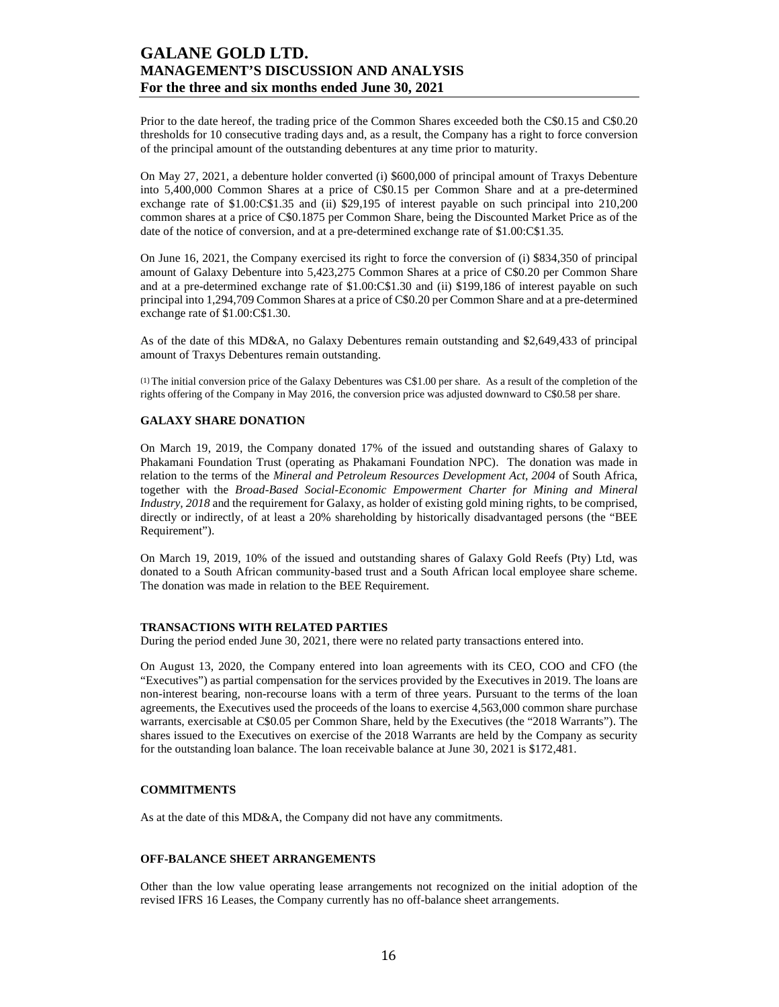Prior to the date hereof, the trading price of the Common Shares exceeded both the C\$0.15 and C\$0.20 thresholds for 10 consecutive trading days and, as a result, the Company has a right to force conversion of the principal amount of the outstanding debentures at any time prior to maturity.

On May 27, 2021, a debenture holder converted (i) \$600,000 of principal amount of Traxys Debenture into 5,400,000 Common Shares at a price of C\$0.15 per Common Share and at a pre-determined exchange rate of \$1.00:C\$1.35 and (ii) \$29,195 of interest payable on such principal into 210,200 common shares at a price of C\$0.1875 per Common Share, being the Discounted Market Price as of the date of the notice of conversion, and at a pre-determined exchange rate of \$1.00:C\$1.35.

On June 16, 2021, the Company exercised its right to force the conversion of (i) \$834,350 of principal amount of Galaxy Debenture into 5,423,275 Common Shares at a price of C\$0.20 per Common Share and at a pre-determined exchange rate of \$1.00:C\$1.30 and (ii) \$199,186 of interest payable on such principal into 1,294,709 Common Shares at a price of C\$0.20 per Common Share and at a pre-determined exchange rate of \$1.00:C\$1.30.

As of the date of this MD&A, no Galaxy Debentures remain outstanding and \$2,649,433 of principal amount of Traxys Debentures remain outstanding.

(1) The initial conversion price of the Galaxy Debentures was C\$1.00 per share. As a result of the completion of the rights offering of the Company in May 2016, the conversion price was adjusted downward to C\$0.58 per share.

## **GALAXY SHARE DONATION**

On March 19, 2019, the Company donated 17% of the issued and outstanding shares of Galaxy to Phakamani Foundation Trust (operating as Phakamani Foundation NPC). The donation was made in relation to the terms of the *Mineral and Petroleum Resources Development Act, 2004* of South Africa, together with the *Broad-Based Social-Economic Empowerment Charter for Mining and Mineral Industry, 2018* and the requirement for Galaxy, as holder of existing gold mining rights, to be comprised, directly or indirectly, of at least a 20% shareholding by historically disadvantaged persons (the "BEE Requirement").

On March 19, 2019, 10% of the issued and outstanding shares of Galaxy Gold Reefs (Pty) Ltd, was donated to a South African community-based trust and a South African local employee share scheme. The donation was made in relation to the BEE Requirement.

#### **TRANSACTIONS WITH RELATED PARTIES**

During the period ended June 30, 2021, there were no related party transactions entered into.

On August 13, 2020, the Company entered into loan agreements with its CEO, COO and CFO (the "Executives") as partial compensation for the services provided by the Executives in 2019. The loans are non-interest bearing, non-recourse loans with a term of three years. Pursuant to the terms of the loan agreements, the Executives used the proceeds of the loans to exercise 4,563,000 common share purchase warrants, exercisable at C\$0.05 per Common Share, held by the Executives (the "2018 Warrants"). The shares issued to the Executives on exercise of the 2018 Warrants are held by the Company as security for the outstanding loan balance. The loan receivable balance at June 30, 2021 is \$172,481.

## **COMMITMENTS**

As at the date of this MD&A, the Company did not have any commitments.

### **OFF-BALANCE SHEET ARRANGEMENTS**

Other than the low value operating lease arrangements not recognized on the initial adoption of the revised IFRS 16 Leases, the Company currently has no off-balance sheet arrangements.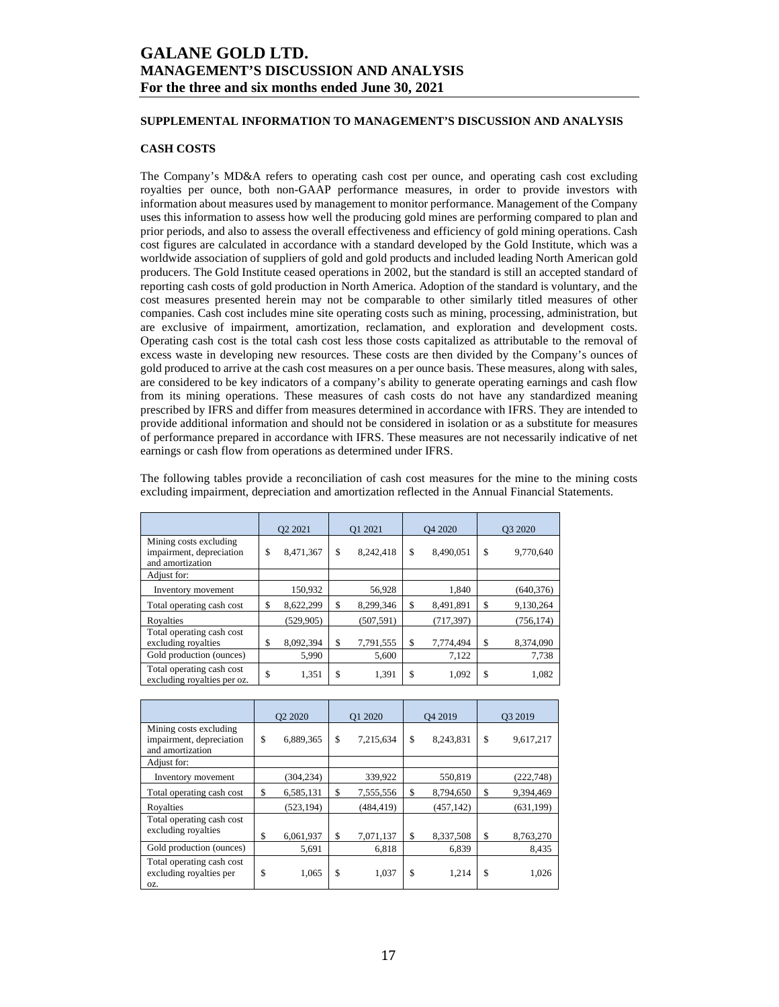## **SUPPLEMENTAL INFORMATION TO MANAGEMENT'S DISCUSSION AND ANALYSIS**

## **CASH COSTS**

The Company's MD&A refers to operating cash cost per ounce, and operating cash cost excluding royalties per ounce, both non-GAAP performance measures, in order to provide investors with information about measures used by management to monitor performance. Management of the Company uses this information to assess how well the producing gold mines are performing compared to plan and prior periods, and also to assess the overall effectiveness and efficiency of gold mining operations. Cash cost figures are calculated in accordance with a standard developed by the Gold Institute, which was a worldwide association of suppliers of gold and gold products and included leading North American gold producers. The Gold Institute ceased operations in 2002, but the standard is still an accepted standard of reporting cash costs of gold production in North America. Adoption of the standard is voluntary, and the cost measures presented herein may not be comparable to other similarly titled measures of other companies. Cash cost includes mine site operating costs such as mining, processing, administration, but are exclusive of impairment, amortization, reclamation, and exploration and development costs. Operating cash cost is the total cash cost less those costs capitalized as attributable to the removal of excess waste in developing new resources. These costs are then divided by the Company's ounces of gold produced to arrive at the cash cost measures on a per ounce basis. These measures, along with sales, are considered to be key indicators of a company's ability to generate operating earnings and cash flow from its mining operations. These measures of cash costs do not have any standardized meaning prescribed by IFRS and differ from measures determined in accordance with IFRS. They are intended to provide additional information and should not be considered in isolation or as a substitute for measures of performance prepared in accordance with IFRS. These measures are not necessarily indicative of net earnings or cash flow from operations as determined under IFRS.

The following tables provide a reconciliation of cash cost measures for the mine to the mining costs excluding impairment, depreciation and amortization reflected in the Annual Financial Statements.

|                                                                        | Q <sub>2</sub> 20 <sub>21</sub> |            |    | O1 2021    |    | Q4 2020    |     | O <sub>3</sub> 2020 |  |
|------------------------------------------------------------------------|---------------------------------|------------|----|------------|----|------------|-----|---------------------|--|
| Mining costs excluding<br>impairment, depreciation<br>and amortization | \$                              | 8,471,367  | \$ | 8,242,418  | \$ | 8,490,051  | \$  | 9,770,640           |  |
| Adjust for:                                                            |                                 |            |    |            |    |            |     |                     |  |
| Inventory movement                                                     |                                 | 150,932    |    | 56.928     |    | 1.840      |     | (640, 376)          |  |
| Total operating cash cost                                              | \$                              | 8,622,299  | \$ | 8,299,346  | \$ | 8,491,891  | \$. | 9,130,264           |  |
| Royalties                                                              |                                 | (529, 905) |    | (507, 591) |    | (717, 397) |     | (756, 174)          |  |
| Total operating cash cost<br>excluding royalties                       | \$                              | 8,092,394  | S  | 7,791,555  | \$ | 7,774,494  | \$  | 8,374,090           |  |
| Gold production (ounces)                                               |                                 | 5,990      |    | 5,600      |    | 7,122      |     | 7,738               |  |
| Total operating cash cost<br>excluding royalties per oz.               | \$                              | 1,351      | \$ | 1,391      | \$ | 1,092      | \$  | 1,082               |  |

|                                                                        | O <sub>2</sub> 2020 |            | Q1 2020         |    | O <sub>4</sub> 2019 |    | O <sub>3</sub> 2019 |  |
|------------------------------------------------------------------------|---------------------|------------|-----------------|----|---------------------|----|---------------------|--|
| Mining costs excluding<br>impairment, depreciation<br>and amortization | \$                  | 6,889,365  | \$<br>7,215,634 | \$ | 8,243,831           | \$ | 9,617,217           |  |
| Adjust for:                                                            |                     |            |                 |    |                     |    |                     |  |
| Inventory movement                                                     |                     | (304, 234) | 339,922         |    | 550,819             |    | (222, 748)          |  |
| Total operating cash cost                                              | \$                  | 6,585,131  | \$<br>7,555,556 | \$ | 8,794,650           | \$ | 9,394,469           |  |
| Royalties                                                              |                     | (523, 194) | (484, 419)      |    | (457, 142)          |    | (631, 199)          |  |
| Total operating cash cost<br>excluding royalties                       | \$                  | 6,061,937  | \$<br>7,071,137 | \$ | 8,337,508           | \$ | 8,763,270           |  |
| Gold production (ounces)                                               |                     | 5,691      | 6,818           |    | 6,839               |    | 8,435               |  |
| Total operating cash cost<br>excluding royalties per<br>OZ.            | \$                  | 1,065      | \$<br>1,037     | \$ | 1,214               | \$ | 1,026               |  |